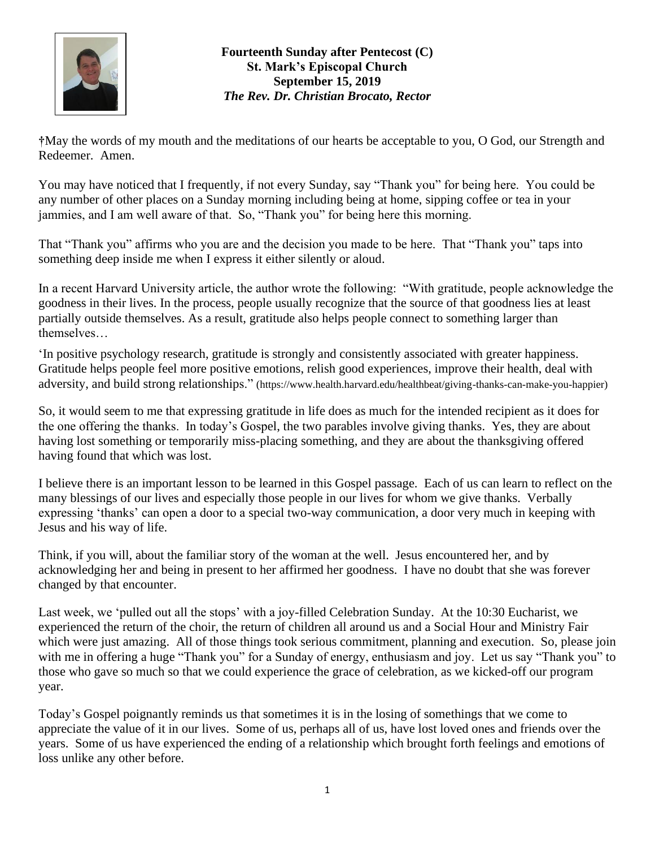

**†**May the words of my mouth and the meditations of our hearts be acceptable to you, O God, our Strength and Redeemer. Amen.

You may have noticed that I frequently, if not every Sunday, say "Thank you" for being here. You could be any number of other places on a Sunday morning including being at home, sipping coffee or tea in your jammies, and I am well aware of that. So, "Thank you" for being here this morning.

That "Thank you" affirms who you are and the decision you made to be here. That "Thank you" taps into something deep inside me when I express it either silently or aloud.

In a recent Harvard University article, the author wrote the following: "With gratitude, people acknowledge the goodness in their lives. In the process, people usually recognize that the source of that goodness lies at least partially outside themselves. As a result, gratitude also helps people connect to something larger than themselves…

'In positive psychology research, gratitude is strongly and consistently associated with greater happiness. Gratitude helps people feel more positive emotions, relish good experiences, improve their health, deal with adversity, and build strong relationships." [\(https://www.health.harvard.edu/healthbeat/giving-thanks-can-make-you-happier\)](https://www.health.harvard.edu/healthbeat/giving-thanks-can-make-you-happier)

So, it would seem to me that expressing gratitude in life does as much for the intended recipient as it does for the one offering the thanks. In today's Gospel, the two parables involve giving thanks. Yes, they are about having lost something or temporarily miss-placing something, and they are about the thanksgiving offered having found that which was lost.

I believe there is an important lesson to be learned in this Gospel passage. Each of us can learn to reflect on the many blessings of our lives and especially those people in our lives for whom we give thanks. Verbally expressing 'thanks' can open a door to a special two-way communication, a door very much in keeping with Jesus and his way of life.

Think, if you will, about the familiar story of the woman at the well. Jesus encountered her, and by acknowledging her and being in present to her affirmed her goodness. I have no doubt that she was forever changed by that encounter.

Last week, we 'pulled out all the stops' with a joy-filled Celebration Sunday. At the 10:30 Eucharist, we experienced the return of the choir, the return of children all around us and a Social Hour and Ministry Fair which were just amazing. All of those things took serious commitment, planning and execution. So, please join with me in offering a huge "Thank you" for a Sunday of energy, enthusiasm and joy. Let us say "Thank you" to those who gave so much so that we could experience the grace of celebration, as we kicked-off our program year.

Today's Gospel poignantly reminds us that sometimes it is in the losing of somethings that we come to appreciate the value of it in our lives. Some of us, perhaps all of us, have lost loved ones and friends over the years. Some of us have experienced the ending of a relationship which brought forth feelings and emotions of loss unlike any other before.